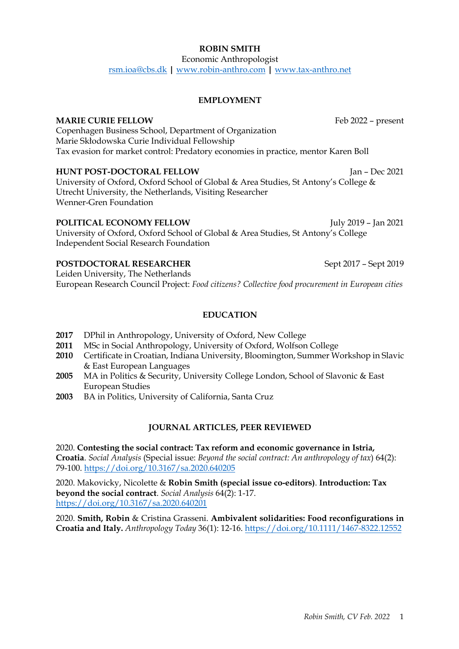#### *Robin Smith, CV Feb. 2022* 1

# **ROBIN SMITH**

Economic Anthropologist

rsm.ioa@cbs.dk **|** www.robin-anthro.com **|** www.tax-anthro.net

## **EMPLOYMENT**

## **MARIE CURIE FELLOW** Feb 2022 – present

Copenhagen Business School, Department of Organization Marie Skłodowska Curie Individual Fellowship Tax evasion for market control: Predatory economies in practice, mentor Karen Boll

## **HUNT POST-DOCTORAL FELLOW**  Jan – Dec 2021

University of Oxford, Oxford School of Global & Area Studies, St Antony's College & Utrecht University, the Netherlands, Visiting Researcher Wenner-Gren Foundation

#### **POLITICAL ECONOMY FELLOW** July 2019 – Jan 2021

University of Oxford, Oxford School of Global & Area Studies, St Antony's College Independent Social Research Foundation

### **POSTDOCTORAL RESEARCHER** Sept 2017 – Sept 2019

Leiden University, The Netherlands European Research Council Project: *Food citizens? Collective food procurement in European cities*

## **EDUCATION**

- **2017** DPhil in Anthropology, University of Oxford, New College
- **2011** MSc in Social Anthropology, University of Oxford, Wolfson College
- **2010** Certificate in Croatian, Indiana University, Bloomington, Summer Workshop in Slavic & East European Languages
- **2005** MA in Politics & Security, University College London, School of Slavonic & East European Studies
- **2003** BA in Politics, University of California, Santa Cruz

### **JOURNAL ARTICLES, PEER REVIEWED**

2020. **Contesting the social contract: Tax reform and economic governance in Istria, Croatia**. *Social Analysis* (Special issue: *Beyond the social contract: An anthropology of tax*) 64(2): 79-100. https://doi.org/10.3167/sa.2020.640205

2020. Makovicky, Nicolette & **Robin Smith (special issue co-editors)**. **Introduction: Tax beyond the social contract**. *Social Analysis* 64(2): 1-17. https://doi.org/10.3167/sa.2020.640201

2020. **Smith, Robin** & Cristina Grasseni. **Ambivalent solidarities: Food reconfigurations in Croatia and Italy.** *Anthropology Today* 36(1): 12-16. https://doi.org/10.1111/1467-8322.12552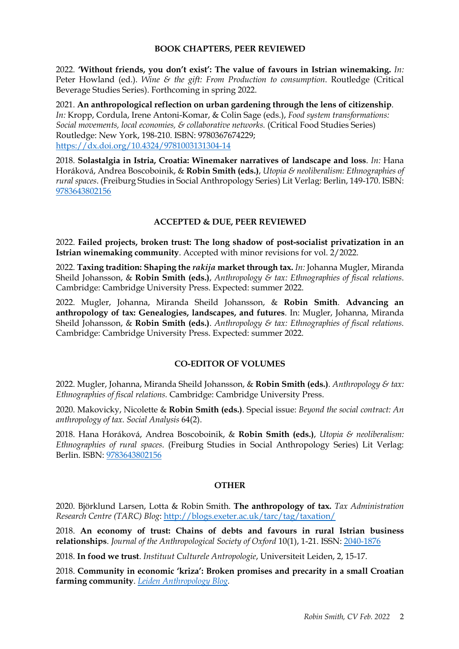### **BOOK CHAPTERS, PEER REVIEWED**

2022. **'Without friends, you don't exist': The value of favours in Istrian winemaking.** *In:* Peter Howland (ed.). *Wine & the gift: From Production to consumption*. Routledge (Critical Beverage Studies Series). Forthcoming in spring 2022.

2021. **An anthropological reflection on urban gardening through the lens of citizenship**. *In:* Kropp, Cordula, Irene Antoni-Komar, & Colin Sage (eds.), *Food system transformations: Social movements, local economies, & collaborative networks.* (Critical Food Studies Series) Routledge: New York, 198-210. ISBN: 9780367674229; https://dx.doi.org/10.4324/9781003131304-14

2018. **Solastalgia in Istria, Croatia: Winemaker narratives of landscape and loss**. *In:* Hana Horáková, Andrea Boscoboinik, & **Robin Smith (eds.)**, *Utopia & neoliberalism: Ethnographies of rural spaces*. (Freiburg Studies in Social Anthropology Series) Lit Verlag: Berlin, 149-170. ISBN: 9783643802156

# **ACCEPTED & DUE, PEER REVIEWED**

2022. **Failed projects, broken trust: The long shadow of post-socialist privatization in an Istrian winemaking community**. Accepted with minor revisions for vol. 2/2022.

2022. **Taxing tradition: Shaping the** *rakija* **market through tax.** *In:* Johanna Mugler, Miranda Sheild Johansson, & **Robin Smith (eds.)**, *Anthropology & tax: Ethnographies of fiscal relations*. Cambridge: Cambridge University Press. Expected: summer 2022.

2022. Mugler, Johanna, Miranda Sheild Johansson, & **Robin Smith**. **Advancing an anthropology of tax: Genealogies, landscapes, and futures**. In: Mugler, Johanna, Miranda Sheild Johansson, & **Robin Smith (eds.)**. *Anthropology & tax: Ethnographies of fiscal relations.*  Cambridge: Cambridge University Press. Expected: summer 2022.

### **CO-EDITOR OF VOLUMES**

2022. Mugler, Johanna, Miranda Sheild Johansson, & **Robin Smith (eds.)**. *Anthropology & tax: Ethnographies of fiscal relations.* Cambridge: Cambridge University Press.

2020. Makovicky, Nicolette & **Robin Smith (eds.)**. Special issue: *Beyond the social contract: An anthropology of tax. Social Analysis* 64(2).

2018. Hana Horáková, Andrea Boscoboinik, & **Robin Smith (eds.)**, *Utopia & neoliberalism: Ethnographies of rural spaces*. (Freiburg Studies in Social Anthropology Series) Lit Verlag: Berlin. ISBN: 9783643802156

### **OTHER**

2020. Björklund Larsen, Lotta & Robin Smith. **The anthropology of tax.** *Tax Administration Research Centre (TARC) Blog*: http://blogs.exeter.ac.uk/tarc/tag/taxation/

2018. **An economy of trust: Chains of debts and favours in rural Istrian business relationships**. *Journal of the Anthropological Society of Oxford* 10(1), 1-21. ISSN: 2040-1876

2018. **In food we trust**. *Instituut Culturele Antropologie*, Universiteit Leiden, 2, 15-17.

2018. **Community in economic 'kriza': Broken promises and precarity in a small Croatian farming community**. *Leiden Anthropology Blog.*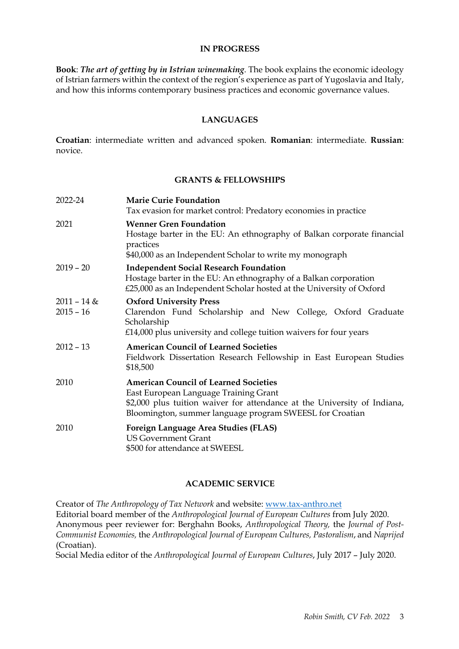#### **IN PROGRESS**

**Book**: *The art of getting by in Istrian winemaking*. The book explains the economic ideology of Istrian farmers within the context of the region's experience as part of Yugoslavia and Italy, and how this informs contemporary business practices and economic governance values.

### **LANGUAGES**

**Croatian**: intermediate written and advanced spoken. **Romanian**: intermediate. **Russian**: novice.

#### **GRANTS & FELLOWSHIPS**

| 2022-24                      | <b>Marie Curie Foundation</b><br>Tax evasion for market control: Predatory economies in practice                                                                                                                              |
|------------------------------|-------------------------------------------------------------------------------------------------------------------------------------------------------------------------------------------------------------------------------|
| 2021                         | <b>Wenner Gren Foundation</b><br>Hostage barter in the EU: An ethnography of Balkan corporate financial<br>practices<br>\$40,000 as an Independent Scholar to write my monograph                                              |
| $2019 - 20$                  | <b>Independent Social Research Foundation</b><br>Hostage barter in the EU: An ethnography of a Balkan corporation<br>£25,000 as an Independent Scholar hosted at the University of Oxford                                     |
| $2011 - 14$ &<br>$2015 - 16$ | <b>Oxford University Press</b><br>Clarendon Fund Scholarship and New College, Oxford Graduate<br>Scholarship<br>$£14,000$ plus university and college tuition waivers for four years                                          |
| $2012 - 13$                  | <b>American Council of Learned Societies</b><br>Fieldwork Dissertation Research Fellowship in East European Studies<br>\$18,500                                                                                               |
| 2010                         | <b>American Council of Learned Societies</b><br>East European Language Training Grant<br>\$2,000 plus tuition waiver for attendance at the University of Indiana,<br>Bloomington, summer language program SWEESL for Croatian |
| 2010                         | <b>Foreign Language Area Studies (FLAS)</b><br><b>US Government Grant</b><br>\$500 for attendance at SWEESL                                                                                                                   |

### **ACADEMIC SERVICE**

Creator of *The Anthropology of Tax Network* and website: www.tax-anthro.net Editorial board member of the *Anthropological Journal of European Cultures* from July 2020. Anonymous peer reviewer for: Berghahn Books, *Anthropological Theory,* the *Journal of Post-Communist Economies,* the *Anthropological Journal of European Cultures, Pastoralism*, and *Naprijed*  (Croatian).

Social Media editor of the *Anthropological Journal of European Cultures*, July 2017 – July 2020.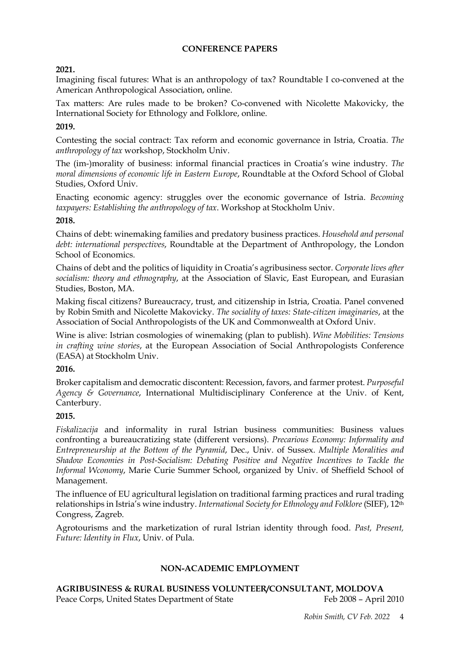## **CONFERENCE PAPERS**

## **2021.**

Imagining fiscal futures: What is an anthropology of tax? Roundtable I co-convened at the American Anthropological Association, online.

Tax matters: Are rules made to be broken? Co-convened with Nicolette Makovicky, the International Society for Ethnology and Folklore, online.

## **2019.**

Contesting the social contract: Tax reform and economic governance in Istria, Croatia. *The anthropology of tax* workshop, Stockholm Univ.

The (im-)morality of business: informal financial practices in Croatia's wine industry. *The moral dimensions of economic life in Eastern Europe*, Roundtable at the Oxford School of Global Studies, Oxford Univ.

Enacting economic agency: struggles over the economic governance of Istria. *Becoming taxpayers: Establishing the anthropology of tax*. Workshop at Stockholm Univ.

## **2018.**

Chains of debt: winemaking families and predatory business practices. *Household and personal debt: international perspectives*, Roundtable at the Department of Anthropology, the London School of Economics.

Chains of debt and the politics of liquidity in Croatia's agribusiness sector. *Corporate lives after socialism: theory and ethnography*, at the Association of Slavic, East European, and Eurasian Studies, Boston, MA.

Making fiscal citizens? Bureaucracy, trust, and citizenship in Istria, Croatia. Panel convened by Robin Smith and Nicolette Makovicky. *The sociality of taxes: State-citizen imaginaries*, at the Association of Social Anthropologists of the UK and Commonwealth at Oxford Univ.

Wine is alive: Istrian cosmologies of winemaking (plan to publish). *Wine Mobilities: Tensions in crafting wine stories*, at the European Association of Social Anthropologists Conference (EASA) at Stockholm Univ.

# **2016.**

Broker capitalism and democratic discontent: Recession, favors, and farmer protest. *Purposeful Agency & Governance*, International Multidisciplinary Conference at the Univ. of Kent, Canterbury.

### **2015.**

*Fiskalizacija* and informality in rural Istrian business communities: Business values confronting a bureaucratizing state (different versions). *Precarious Economy: Informality and Entrepreneurship at the Bottom of the Pyramid*, Dec., Univ. of Sussex. *Multiple Moralities and Shadow Economies in Post-Socialism: Debating Positive and Negative Incentives to Tackle the Informal Wconomy*, Marie Curie Summer School, organized by Univ. of Sheffield School of Management.

The influence of EU agricultural legislation on traditional farming practices and rural trading relationships in Istria's wine industry. *International Society for Ethnology and Folklore* (SIEF), 12th Congress, Zagreb.

Agrotourisms and the marketization of rural Istrian identity through food. *Past, Present, Future: Identity in Flux*, Univ. of Pula.

# **NON-ACADEMIC EMPLOYMENT**

**AGRIBUSINESS & RURAL BUSINESS VOLUNTEER/CONSULTANT, MOLDOVA**  Peace Corps, United States Department of State Feb 2008 - April 2010